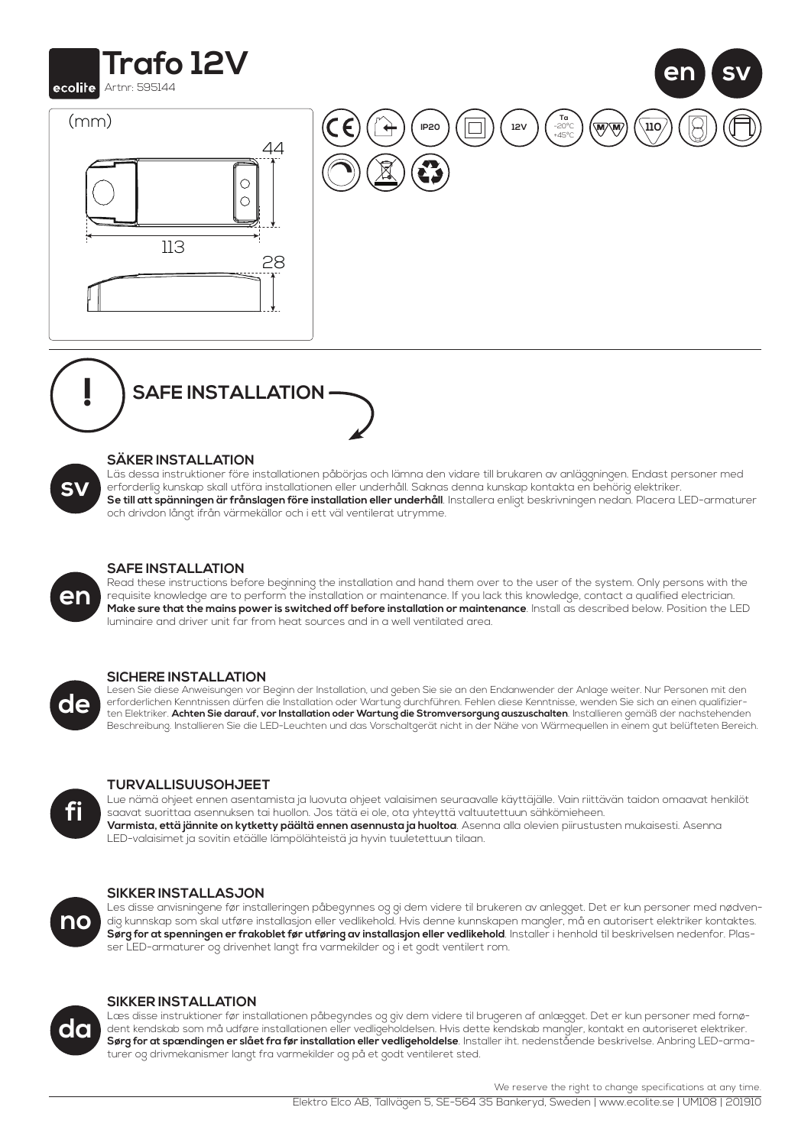





## **SÄKER INSTALLATION**

Läs dessa instruktioner före installationen påbörjas och lämna den vidare till brukaren av anläggningen. Endast personer med erforderlig kunskap skall utföra installationen eller underhåll. Saknas denna kunskap kontakta en behörig elektriker. **Se till att spänningen är frånslagen före installation eller underhåll**. Installera enligt beskrivningen nedan. Placera LED-armaturer och drivdon långt ifrån värmekällor och i ett väl ventilerat utrymme.



# **SAFE INSTALLATION**

Read these instructions before beginning the installation and hand them over to the user of the system. Only persons with the requisite knowledge are to perform the installation or maintenance. If you lack this knowledge, contact a qualified electrician. **Make sure that the mains power is switched off before installation or maintenance**. Install as described below. Position the LED luminaire and driver unit far from heat sources and in a well ventilated area.



## **SICHERE INSTALLATION**

Lesen Sie diese Anweisungen vor Beginn der Installation, und geben Sie sie an den Endanwender der Anlage weiter. Nur Personen mit den erforderlichen Kenntnissen dürfen die Installation oder Wartung durchführen. Fehlen diese Kenntnisse, wenden Sie sich an einen qualifizierten Elektriker. **Achten Sie darauf, vor Installation oder Wartung die Stromversorgung auszuschalten**. Installieren gemäß der nachstehenden Beschreibung. Installieren Sie die LED-Leuchten und das Vorschaltgerät nicht in der Nähe von Wärmequellen in einem gut belüfteten Bereich.



## **TURVALLISUUSOHJEET**

Lue nämä ohjeet ennen asentamista ja luovuta ohjeet valaisimen seuraavalle käyttäjälle. Vain riittävän taidon omaavat henkilöt saavat suorittaa asennuksen tai huollon. Jos tätä ei ole, ota yhteyttä valtuutettuun sähkömieheen. **Varmista, että jännite on kytketty päältä ennen asennusta ja huoltoa**. Asenna alla olevien piirustusten mukaisesti. Asenna LED-valaisimet ja sovitin etäälle lämpölähteistä ja hyvin tuuletettuun tilaan.



**da**

## **SIKKER INSTALLASJON**

Les disse anvisningene før installeringen påbegynnes og gi dem videre til brukeren av anlegget. Det er kun personer med nødvendig kunnskap som skal utføre installasjon eller vedlikehold. Hvis denne kunnskapen mangler, må en autorisert elektriker kontaktes. **Sørg for at spenningen er frakoblet før utføring av installasjon eller vedlikehold**. Installer i henhold til beskrivelsen nedenfor. Plasser LED-armaturer og drivenhet langt fra varmekilder og i et godt ventilert rom.



Læs disse instruktioner før installationen påbegyndes og giv dem videre til brugeren af anlægget. Det er kun personer med fornødent kendskab som må udføre installationen eller vedligeholdelsen. Hvis dette kendskab mangler, kontakt en autoriseret elektriker. **Sørg for at spændingen er slået fra før installation eller vedligeholdelse**. Installer iht. nedenstående beskrivelse. Anbring LED-armaturer og drivmekanismer langt fra varmekilder og på et godt ventileret sted.

We reserve the right to change specifications at any time.